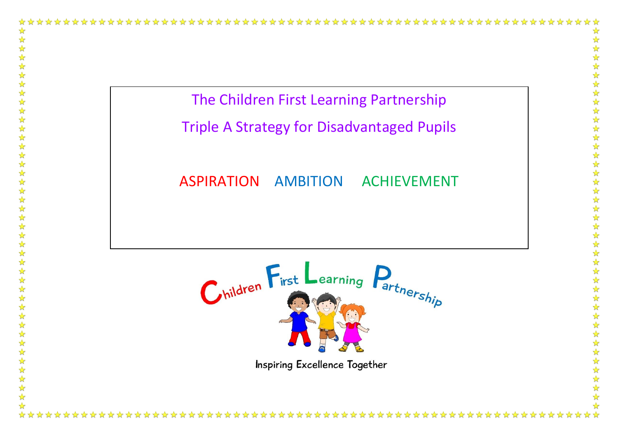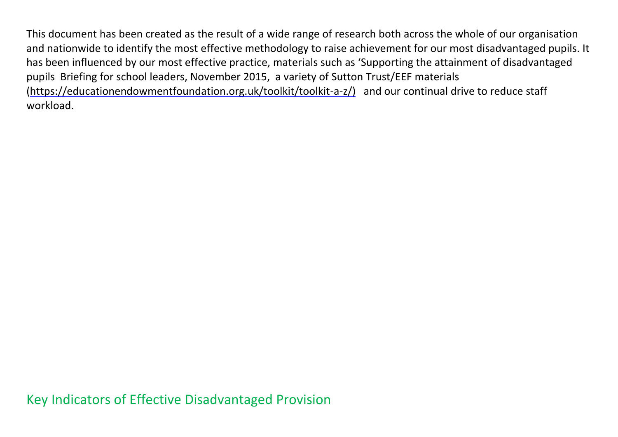This document has been created as the result of a wide range of research both across the whole of our organisation and nationwide to identify the most effective methodology to raise achievement for our most disadvantaged pupils. It has been influenced by our most effective practice, materials such as 'Supporting the attainment of disadvantaged pupils Briefing for school leaders, November 2015, a variety of Sutton Trust/EEF materials [\(https://educationendowmentfoundation.org.uk/toolkit/toolkit-a-z/\)](https://educationendowmentfoundation.org.uk/toolkit/toolkit-a-z/) and our continual drive to reduce staff workload.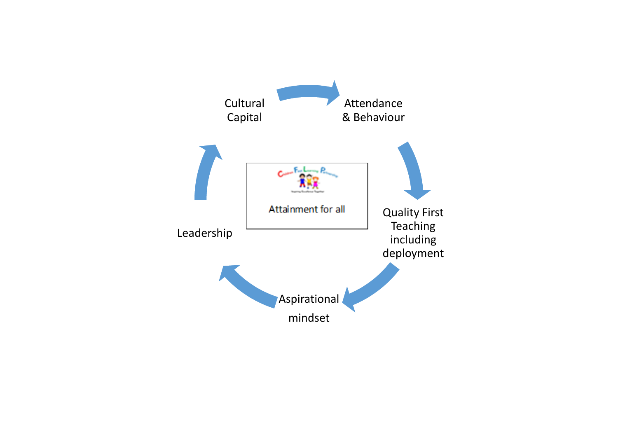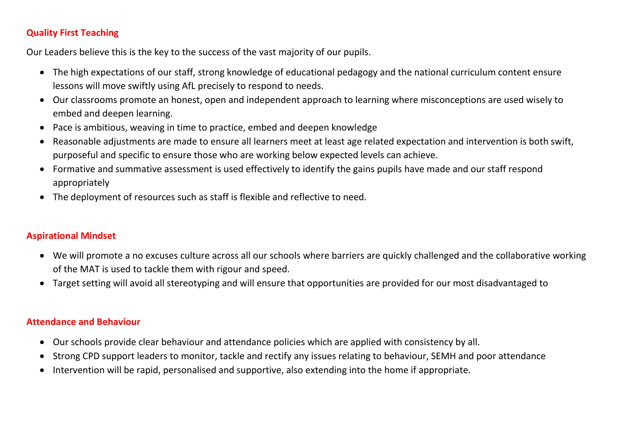#### **Quality First Teaching**

Our Leaders believe this is the key to the success of the vast majority of our pupils.

- The high expectations of our staff, strong knowledge of educational pedagogy and the national curriculum content ensure lessons will move swiftly using AfL precisely to respond to needs.
- Our classrooms promote an honest, open and independent approach to learning where misconceptions are used wisely to embed and deepen learning.
- Pace is ambitious, weaving in time to practice, embed and deepen knowledge
- Reasonable adjustments are made to ensure all learners meet at least age related expectation and intervention is both swift, purposeful and specific to ensure those who are working below expected levels can achieve.
- Formative and summative assessment is used effectively to identify the gains pupils have made and our staff respond appropriately
- The deployment of resources such as staff is flexible and reflective to need.

#### **Aspirational Mindset**

- We will promote a no excuses culture across all our schools where barriers are quickly challenged and the collaborative working of the MAT is used to tackle them with rigour and speed.
- Target setting will avoid all stereotyping and will ensure that opportunities are provided for our most disadvantaged to

#### **Attendance and Behaviour**

- Our schools provide clear behaviour and attendance policies which are applied with consistency by all.
- Strong CPD support leaders to monitor, tackle and rectify any issues relating to behaviour, SEMH and poor attendance
- Intervention will be rapid, personalised and supportive, also extending into the home if appropriate.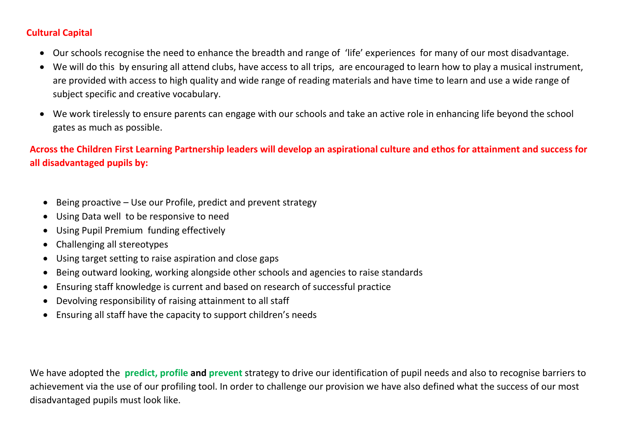#### **Cultural Capital**

- Our schools recognise the need to enhance the breadth and range of 'life' experiences for many of our most disadvantage.
- We will do this by ensuring all attend clubs, have access to all trips, are encouraged to learn how to play a musical instrument, are provided with access to high quality and wide range of reading materials and have time to learn and use a wide range of subject specific and creative vocabulary.
- We work tirelessly to ensure parents can engage with our schools and take an active role in enhancing life beyond the school gates as much as possible.

**Across the Children First Learning Partnership leaders will develop an aspirational culture and ethos for attainment and success for all disadvantaged pupils by:**

- Being proactive Use our Profile, predict and prevent strategy
- Using Data well to be responsive to need
- Using Pupil Premium funding effectively
- Challenging all stereotypes
- Using target setting to raise aspiration and close gaps
- Being outward looking, working alongside other schools and agencies to raise standards
- Ensuring staff knowledge is current and based on research of successful practice
- Devolving responsibility of raising attainment to all staff
- Ensuring all staff have the capacity to support children's needs

We have adopted the **predict, profile and prevent** strategy to drive our identification of pupil needs and also to recognise barriers to achievement via the use of our profiling tool. In order to challenge our provision we have also defined what the success of our most disadvantaged pupils must look like.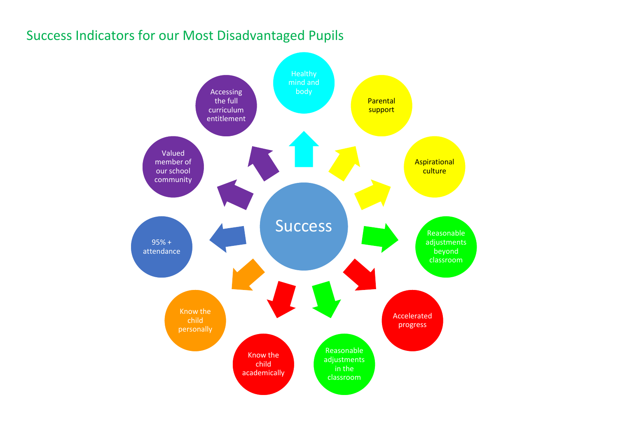## Success Indicators for our Most Disadvantaged Pupils

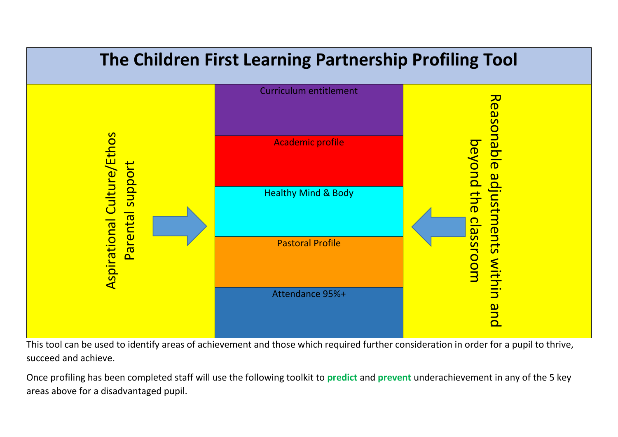

This tool can be used to identify areas of achievement and those which required further consideration in order for a pupil to thrive, succeed and achieve.

Once profiling has been completed staff will use the following toolkit to **predict** and **prevent** underachievement in any of the 5 key areas above for a disadvantaged pupil.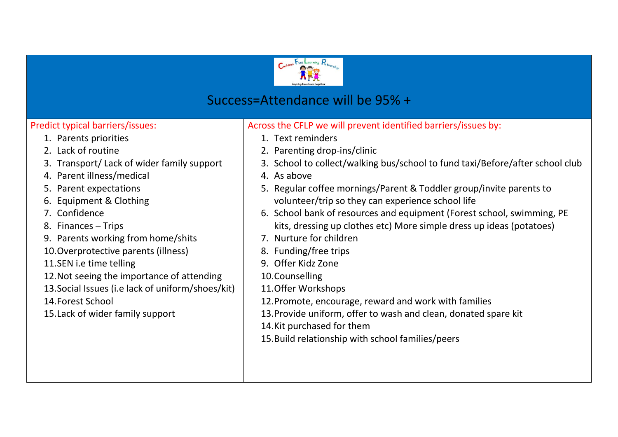

## Success=Attendance will be 95% +

#### Predict typical barriers/issues:

- 1. Parents priorities
- 2. Lack of routine
- 3. Transport/ Lack of wider family support
- 4. Parent illness/medical
- 5. Parent expectations
- 6. Equipment & Clothing
- 7. Confidence
- 8. Finances Trips
- 9. Parents working from home/shits
- 10.Overprotective parents (illness)
- 11.SEN i.e time telling
- 12.Not seeing the importance of attending
- 13.Social Issues (i.e lack of uniform/shoes/kit)

14.Forest School

15.Lack of wider family support

- 1. Text reminders
- 2. Parenting drop-ins/clinic
- 3. School to collect/walking bus/school to fund taxi/Before/after school club
- 4. As above
- 5. Regular coffee mornings/Parent & Toddler group/invite parents to volunteer/trip so they can experience school life
- 6. School bank of resources and equipment (Forest school, swimming, PE kits, dressing up clothes etc) More simple dress up ideas (potatoes)
- 7. Nurture for children
- 8. Funding/free trips
- 9. Offer Kidz Zone
- 10.Counselling
- 11.Offer Workshops
- 12.Promote, encourage, reward and work with families
- 13.Provide uniform, offer to wash and clean, donated spare kit
- 14.Kit purchased for them
- 15.Build relationship with school families/peers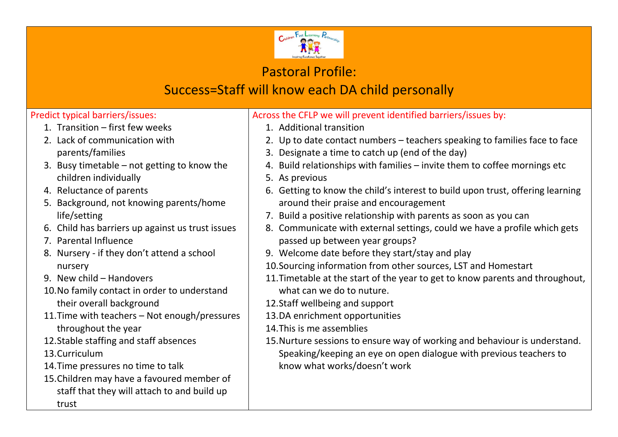

### Pastoral Profile:

# Success=Staff will know each DA child personally

### Predict typical barriers/issues:

- 1. Transition first few weeks
- 2. Lack of communication with parents/families
- 3. Busy timetable not getting to know the children individually
- 4. Reluctance of parents
- 5. Background, not knowing parents/home life/setting
- 6. Child has barriers up against us trust issues
- 7. Parental Influence
- 8. Nursery if they don't attend a school nursery
- 9. New child Handovers
- 10.No family contact in order to understand their overall background
- 11.Time with teachers Not enough/pressures throughout the year
- 12.Stable staffing and staff absences

13.Curriculum

- 14.Time pressures no time to talk
- 15.Children may have a favoured member of staff that they will attach to and build up trust

- 1. Additional transition
- 2. Up to date contact numbers teachers speaking to families face to face
- 3. Designate a time to catch up (end of the day)
- 4. Build relationships with families invite them to coffee mornings etc
- 5. As previous
- 6. Getting to know the child's interest to build upon trust, offering learning around their praise and encouragement
- 7. Build a positive relationship with parents as soon as you can
- 8. Communicate with external settings, could we have a profile which gets passed up between year groups?
- 9. Welcome date before they start/stay and play
- 10.Sourcing information from other sources, LST and Homestart
- 11.Timetable at the start of the year to get to know parents and throughout, what can we do to nuture.
- 12.Staff wellbeing and support
- 13.DA enrichment opportunities
- 14.This is me assemblies
- 15.Nurture sessions to ensure way of working and behaviour is understand. Speaking/keeping an eye on open dialogue with previous teachers to know what works/doesn't work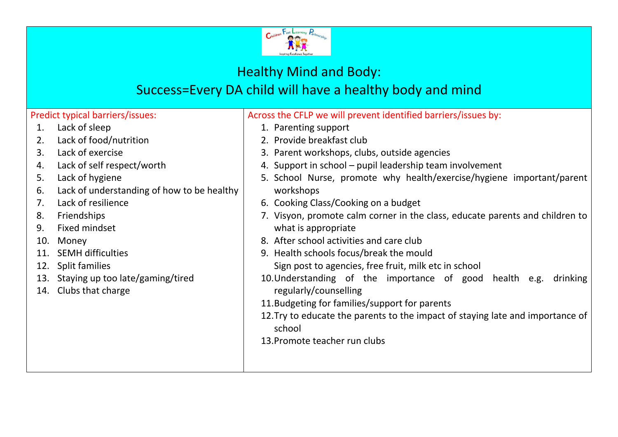

# Healthy Mind and Body:

## Success=Every DA child will have a healthy body and mind

Predict typical barriers/issues:

- 1. Lack of sleep
- 2. Lack of food/nutrition
- 3. Lack of exercise
- 4. Lack of self respect/worth
- 5. Lack of hygiene
- 6. Lack of understanding of how to be healthy
- 7. Lack of resilience
- 8. Friendships
- 9. Fixed mindset
- 10. Money
- 11. SEMH difficulties
- 12. Split families
- 13. Staying up too late/gaming/tired
- 14. Clubs that charge

- 1. Parenting support
- 2. Provide breakfast club
- 3. Parent workshops, clubs, outside agencies
- 4. Support in school pupil leadership team involvement
- 5. School Nurse, promote why health/exercise/hygiene important/parent workshops
- 6. Cooking Class/Cooking on a budget
- 7. Visyon, promote calm corner in the class, educate parents and children to what is appropriate
- 8. After school activities and care club
- 9. Health schools focus/break the mould
	- Sign post to agencies, free fruit, milk etc in school
- 10.Understanding of the importance of good health e.g. drinking regularly/counselling
- 11.Budgeting for families/support for parents
- 12.Try to educate the parents to the impact of staying late and importance of school
- 13.Promote teacher run clubs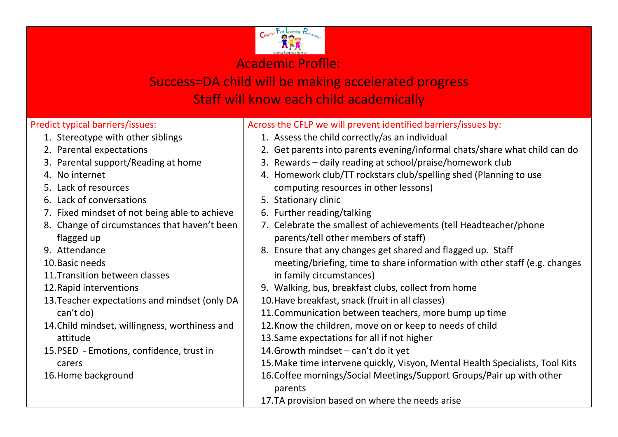

# Success=DA child will be making accelerated progress Staff will know each child academically

#### Predict typical barriers/issues:

- 1. Stereotype with other siblings
- 2. Parental expectations
- 3. Parental support/Reading at home
- 4. No internet
- 5. Lack of resources
- 6. Lack of conversations
- 7. Fixed mindset of not being able to achieve
- 8. Change of circumstances that haven't been flagged up
- 9. Attendance
- 10.Basic needs
- 11.Transition between classes
- 12.Rapid interventions
- 13.Teacher expectations and mindset (only DA can't do)
- 14.Child mindset, willingness, worthiness and attitude
- 15.PSED Emotions, confidence, trust in carers
- 16.Home background

- 1. Assess the child correctly/as an individual
- 2. Get parents into parents evening/informal chats/share what child can do
- 3. Rewards daily reading at school/praise/homework club
- 4. Homework club/TT rockstars club/spelling shed (Planning to use computing resources in other lessons)
- 5. Stationary clinic
- 6. Further reading/talking
- 7. Celebrate the smallest of achievements (tell Headteacher/phone parents/tell other members of staff)
- 8. Ensure that any changes get shared and flagged up. Staff meeting/briefing, time to share information with other staff (e.g. changes in family circumstances)
- 9. Walking, bus, breakfast clubs, collect from home
- 10.Have breakfast, snack (fruit in all classes)
- 11.Communication between teachers, more bump up time
- 12.Know the children, move on or keep to needs of child
- 13.Same expectations for all if not higher
- 14.Growth mindset can't do it yet
- 15.Make time intervene quickly, Visyon, Mental Health Specialists, Tool Kits
- 16.Coffee mornings/Social Meetings/Support Groups/Pair up with other
	- parents
- 17.TA provision based on where the needs arise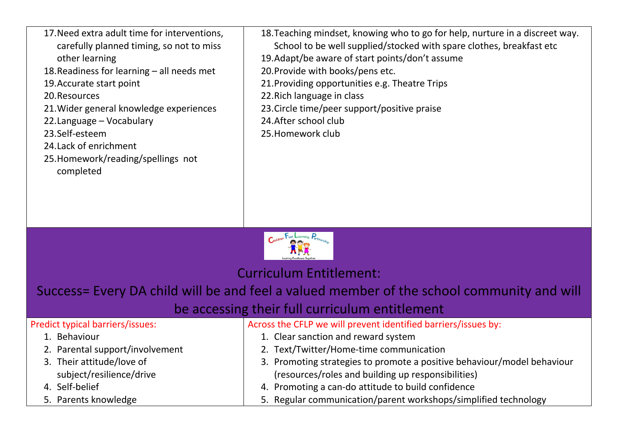- 17.Need extra adult time for interventions, carefully planned timing, so not to miss other learning 18.Readiness for learning – all needs met 19.Accurate start point 20.Resources 21.Wider general knowledge experiences
- 22.Language Vocabulary
- 23.Self-esteem
- 24.Lack of enrichment
- 25.Homework/reading/spellings not completed
- 18.Teaching mindset, knowing who to go for help, nurture in a discreet way.
- School to be well supplied/stocked with spare clothes, breakfast etc
- 19.Adapt/be aware of start points/don't assume
- 20.Provide with books/pens etc.
- 21.Providing opportunities e.g. Theatre Trips
- 22.Rich language in class
- 23.Circle time/peer support/positive praise
- 24.After school club
- 25.Homework club



Curriculum Entitlement:

Success= Every DA child will be and feel a valued member of the school community and will

### be accessing their full curriculum entitlement

| <b>Predict typical barriers/issues:</b> | Across the CFLP we will prevent identified barriers/issues by:          |
|-----------------------------------------|-------------------------------------------------------------------------|
| 1. Behaviour                            | 1. Clear sanction and reward system                                     |
| 2. Parental support/involvement         | 2. Text/Twitter/Home-time communication                                 |
| 3. Their attitude/love of               | 3. Promoting strategies to promote a positive behaviour/model behaviour |
| subject/resilience/drive                | (resources/roles and building up responsibilities)                      |
| 4. Self-belief                          | 4. Promoting a can-do attitude to build confidence                      |
| 5. Parents knowledge                    | 5. Regular communication/parent workshops/simplified technology         |